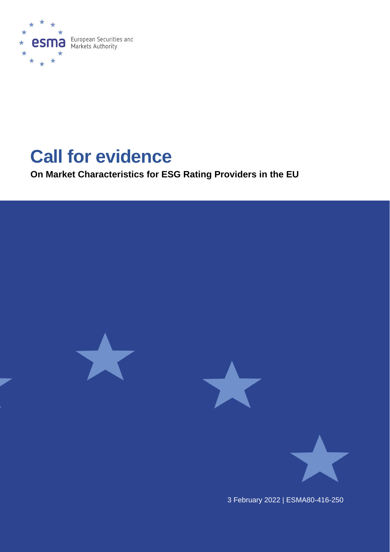

# **Call for evidence**

**On Market Characteristics for ESG Rating Providers in the EU**

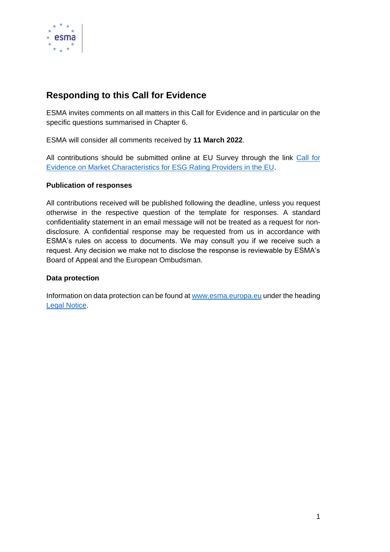

## **Responding to this Call for Evidence**

ESMA invites comments on all matters in this Call for Evidence and in particular on the specific questions summarised in Chapter 6.

ESMA will consider all comments received by **11 March 2022**.

All contributions should be submitted online at EU Survey through the link [Call for](https://ec.europa.eu/eusurvey/runner/callforevidenceonESGratings)  [Evidence on Market Characteristics for ESG Rating Providers in the EU.](https://ec.europa.eu/eusurvey/runner/callforevidenceonESGratings)

#### **Publication of responses**

All contributions received will be published following the deadline, unless you request otherwise in the respective question of the template for responses. A standard confidentiality statement in an email message will not be treated as a request for nondisclosure. A confidential response may be requested from us in accordance with ESMA's rules on access to documents. We may consult you if we receive such a request. Any decision we make not to disclose the response is reviewable by ESMA's Board of Appeal and the European Ombudsman.

#### **Data protection**

Information on data protection can be found at [www.esma.europa.eu](http://www.esma.europa.eu/) under the heading [Legal Notice.](http://www.esma.europa.eu/legal-notice)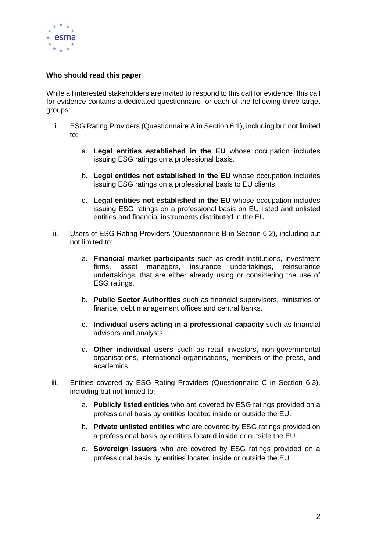

#### **Who should read this paper**

While all interested stakeholders are invited to respond to this call for evidence, this call for evidence contains a dedicated questionnaire for each of the following three target groups:

- i. ESG Rating Providers (Questionnaire A in Section 6.1), including but not limited to:
	- a. **Legal entities established in the EU** whose occupation includes issuing ESG ratings on a professional basis.
	- b. **Legal entities not established in the EU** whose occupation includes issuing ESG ratings on a professional basis to EU clients.
	- c. **Legal entities not established in the EU** whose occupation includes issuing ESG ratings on a professional basis on EU listed and unlisted entities and financial instruments distributed in the EU.
- ii. Users of ESG Rating Providers (Questionnaire B in Section 6.2), including but not limited to:
	- a. **Financial market participants** such as credit institutions, investment firms, asset managers, insurance undertakings, reinsurance undertakings, that are either already using or considering the use of ESG ratings.
	- b. **Public Sector Authorities** such as financial supervisors, ministries of finance, debt management offices and central banks.
	- c. **Individual users acting in a professional capacity** such as financial advisors and analysts.
	- d. **Other individual users** such as retail investors, non-governmental organisations, international organisations, members of the press, and academics.
- iii. Entities covered by ESG Rating Providers (Questionnaire C in Section 6.3), including but not limited to:
	- a. **Publicly listed entities** who are covered by ESG ratings provided on a professional basis by entities located inside or outside the EU.
	- b. **Private unlisted entities** who are covered by ESG ratings provided on a professional basis by entities located inside or outside the EU.
	- c. **Sovereign issuers** who are covered by ESG ratings provided on a professional basis by entities located inside or outside the EU.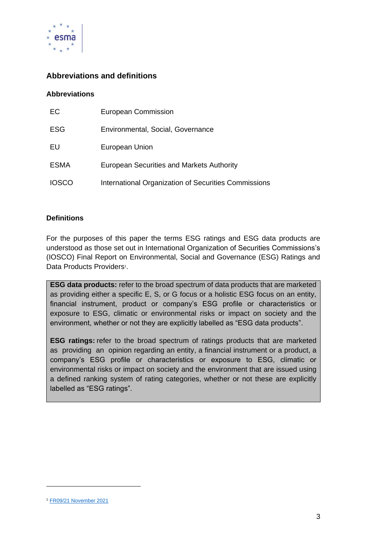

## **Abbreviations and definitions**

#### **Abbreviations**

| EC           | <b>European Commission</b>                           |
|--------------|------------------------------------------------------|
| <b>ESG</b>   | Environmental, Social, Governance                    |
| EU           | European Union                                       |
| <b>ESMA</b>  | <b>European Securities and Markets Authority</b>     |
| <b>IOSCO</b> | International Organization of Securities Commissions |

#### **Definitions**

For the purposes of this paper the terms ESG ratings and ESG data products are understood as those set out in International Organization of Securities Commissions's (IOSCO) Final Report on Environmental, Social and Governance (ESG) Ratings and Data Products Providers<sup>1</sup>.

**ESG data products:** refer to the broad spectrum of data products that are marketed as providing either a specific E, S, or G focus or a holistic ESG focus on an entity, financial instrument, product or company's ESG profile or characteristics or exposure to ESG, climatic or environmental risks or impact on society and the environment, whether or not they are explicitly labelled as "ESG data products".

**ESG ratings:** refer to the broad spectrum of ratings products that are marketed as providing an opinion regarding an entity, a financial instrument or a product, a company's ESG profile or characteristics or exposure to ESG, climatic or environmental risks or impact on society and the environment that are issued using a defined ranking system of rating categories, whether or not these are explicitly labelled as "ESG ratings".

<sup>1</sup> [FR09/21 November 2021](https://www.iosco.org/library/pubdocs/pdf/IOSCOPD690.pdf)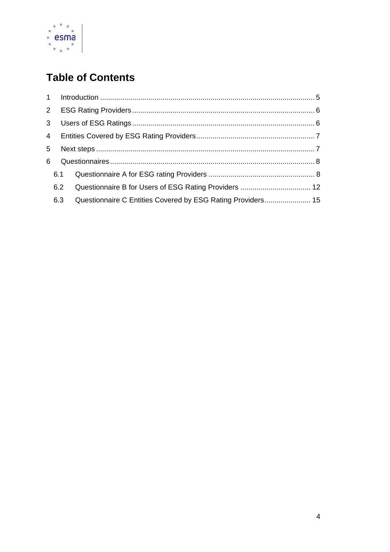

# **Table of Contents**

| 5 |     |                                                             |  |
|---|-----|-------------------------------------------------------------|--|
| 6 |     |                                                             |  |
|   |     |                                                             |  |
|   | 6.2 |                                                             |  |
|   | 6.3 | Questionnaire C Entities Covered by ESG Rating Providers 15 |  |
|   |     |                                                             |  |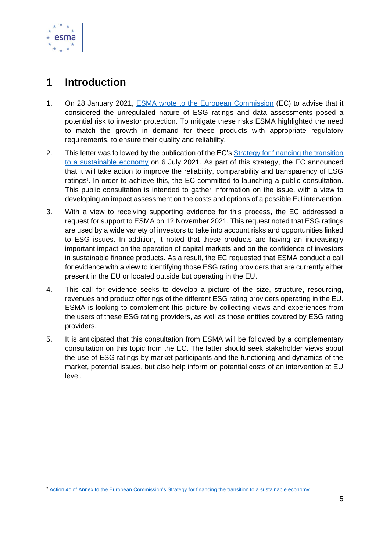

# <span id="page-5-0"></span>**1 Introduction**

- 1. On 28 January 2021, **ESMA** wrote to the European Commission (EC) to advise that it considered the unregulated nature of ESG ratings and data assessments posed a potential risk to investor protection. To mitigate these risks ESMA highlighted the need to match the growth in demand for these products with appropriate regulatory requirements, to ensure their quality and reliability.
- 2. This letter was followed by the publication of the EC's [Strategy for financing the transition](https://ec.europa.eu/info/publications/210706-sustainable-finance-strategy_en)  [to a sustainable economy](https://ec.europa.eu/info/publications/210706-sustainable-finance-strategy_en) on 6 July 2021. As part of this strategy, the EC announced that it will take action to improve the reliability, comparability and transparency of ESG ratings<sup>2</sup>. In order to achieve this, the EC committed to launching a public consultation. This public consultation is intended to gather information on the issue, with a view to developing an impact assessment on the costs and options of a possible EU intervention.
- 3. With a view to receiving supporting evidence for this process, the EC addressed a request for support to ESMA on 12 November 2021. This request noted that ESG ratings are used by a wide variety of investors to take into account risks and opportunities linked to ESG issues. In addition, it noted that these products are having an increasingly important impact on the operation of capital markets and on the confidence of investors in sustainable finance products. As a result**,** the EC requested that ESMA conduct a call for evidence with a view to identifying those ESG rating providers that are currently either present in the EU or located outside but operating in the EU.
- 4. This call for evidence seeks to develop a picture of the size, structure, resourcing, revenues and product offerings of the different ESG rating providers operating in the EU. ESMA is looking to complement this picture by collecting views and experiences from the users of these ESG rating providers, as well as those entities covered by ESG rating providers.
- 5. It is anticipated that this consultation from ESMA will be followed by a complementary consultation on this topic from the EC. The latter should seek stakeholder views about the use of ESG ratings by market participants and the functioning and dynamics of the market, potential issues, but also help inform on potential costs of an intervention at EU level.

<sup>&</sup>lt;sup>2</sup> [Action 4c of Annex to the European Commission's Strategy for financing the transition to a sustainable economy.](https://eur-lex.europa.eu/legal-content/EN/TXT/?uri=CELEX:52021DC0390)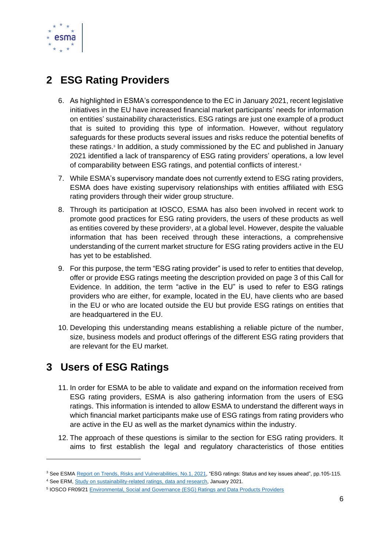

# <span id="page-6-0"></span>**2 ESG Rating Providers**

- 6. As highlighted in ESMA's correspondence to the EC in January 2021, recent legislative initiatives in the EU have increased financial market participants' needs for information on entities' sustainability characteristics. ESG ratings are just one example of a product that is suited to providing this type of information. However, without regulatory safeguards for these products several issues and risks reduce the potential benefits of these ratings. 3 In addition, a study commissioned by the EC and published in January 2021 identified a lack of transparency of ESG rating providers' operations, a low level of comparability between ESG ratings, and potential conflicts of interest.<sup>4</sup>
- 7. While ESMA's supervisory mandate does not currently extend to ESG rating providers, ESMA does have existing supervisory relationships with entities affiliated with ESG rating providers through their wider group structure.
- 8. Through its participation at IOSCO, ESMA has also been involved in recent work to promote good practices for ESG rating providers, the users of these products as well as entities covered by these providers<sup>5</sup>, at a global level. However, despite the valuable information that has been received through these interactions, a comprehensive understanding of the current market structure for ESG rating providers active in the EU has yet to be established.
- 9. For this purpose, the term "ESG rating provider" is used to refer to entities that develop, offer or provide ESG ratings meeting the description provided on page 3 of this Call for Evidence. In addition, the term "active in the EU" is used to refer to ESG ratings providers who are either, for example, located in the EU, have clients who are based in the EU or who are located outside the EU but provide ESG ratings on entities that are headquartered in the EU.
- 10. Developing this understanding means establishing a reliable picture of the number, size, business models and product offerings of the different ESG rating providers that are relevant for the EU market.

# <span id="page-6-1"></span>**3 Users of ESG Ratings**

- 11. In order for ESMA to be able to validate and expand on the information received from ESG rating providers, ESMA is also gathering information from the users of ESG ratings. This information is intended to allow ESMA to understand the different ways in which financial market participants make use of ESG ratings from rating providers who are active in the EU as well as the market dynamics within the industry.
- 12. The approach of these questions is similar to the section for ESG rating providers. It aims to first establish the legal and regulatory characteristics of those entities

<sup>3</sup> See ESMA [Report on Trends, Risks and Vulnerabilities, No.1, 2021,](https://www.esma.europa.eu/sites/default/files/library/esma50-165-1524_trv_1_2021.pdf) "ESG ratings: Status and key issues ahead", pp.105-115.

<sup>&</sup>lt;sup>4</sup> See ERM[, Study on sustainability-related ratings, data and research,](https://www.esma.europa.eu/sites/default/files/library/esma50-165-1524_trv_1_2021.pdf) January 2021.

<sup>5</sup> IOSCO FR09/21 [Environmental, Social and Governance \(ESG\) Ratings and Data Products Providers](https://www.iosco.org/library/pubdocs/pdf/IOSCOPD690.pdf)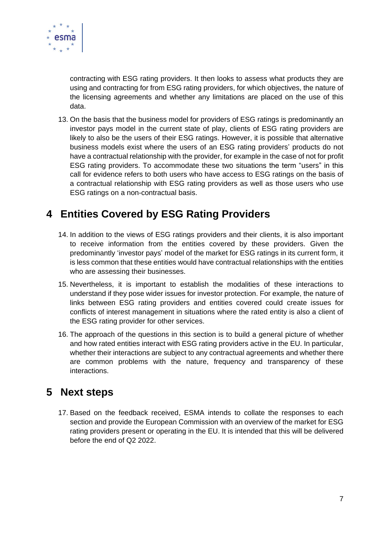

contracting with ESG rating providers. It then looks to assess what products they are using and contracting for from ESG rating providers, for which objectives, the nature of the licensing agreements and whether any limitations are placed on the use of this data.

13. On the basis that the business model for providers of ESG ratings is predominantly an investor pays model in the current state of play, clients of ESG rating providers are likely to also be the users of their ESG ratings. However, it is possible that alternative business models exist where the users of an ESG rating providers' products do not have a contractual relationship with the provider, for example in the case of not for profit ESG rating providers. To accommodate these two situations the term "users" in this call for evidence refers to both users who have access to ESG ratings on the basis of a contractual relationship with ESG rating providers as well as those users who use ESG ratings on a non-contractual basis.

# <span id="page-7-0"></span>**4 Entities Covered by ESG Rating Providers**

- 14. In addition to the views of ESG ratings providers and their clients, it is also important to receive information from the entities covered by these providers. Given the predominantly 'investor pays' model of the market for ESG ratings in its current form, it is less common that these entities would have contractual relationships with the entities who are assessing their businesses.
- 15. Nevertheless, it is important to establish the modalities of these interactions to understand if they pose wider issues for investor protection. For example, the nature of links between ESG rating providers and entities covered could create issues for conflicts of interest management in situations where the rated entity is also a client of the ESG rating provider for other services.
- 16. The approach of the questions in this section is to build a general picture of whether and how rated entities interact with ESG rating providers active in the EU. In particular, whether their interactions are subject to any contractual agreements and whether there are common problems with the nature, frequency and transparency of these interactions.

# <span id="page-7-1"></span>**5 Next steps**

17. Based on the feedback received, ESMA intends to collate the responses to each section and provide the European Commission with an overview of the market for ESG rating providers present or operating in the EU. It is intended that this will be delivered before the end of Q2 2022.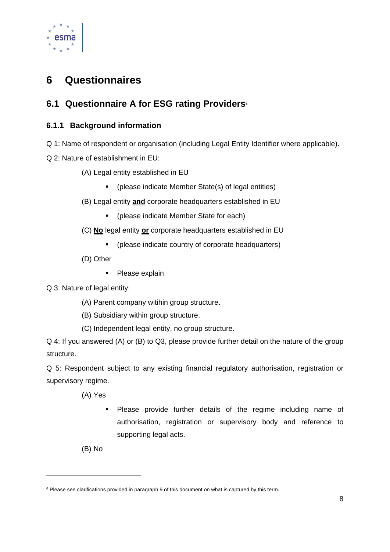

# <span id="page-8-0"></span>**6 Questionnaires**

# <span id="page-8-1"></span>**6.1 Questionnaire A for ESG rating Providers<sup>6</sup>**

## **6.1.1 Background information**

- Q 1: Name of respondent or organisation (including Legal Entity Identifier where applicable).
- Q 2: Nature of establishment in EU:
	- (A) Legal entity established in EU
		- (please indicate Member State(s) of legal entities)
	- (B) Legal entity **and** corporate headquarters established in EU
		- (please indicate Member State for each)
	- (C) **No** legal entity **or** corporate headquarters established in EU
		- (please indicate country of corporate headquarters)
	- (D) Other
		- Please explain

Q 3: Nature of legal entity:

- (A) Parent company witihin group structure.
- (B) Subsidiary within group structure.
- (C) Independent legal entity, no group structure.

Q 4: If you answered (A) or (B) to Q3, please provide further detail on the nature of the group structure.

Q 5: Respondent subject to any existing financial regulatory authorisation, registration or supervisory regime.

(A) Yes

▪ Please provide further details of the regime including name of authorisation, registration or supervisory body and reference to supporting legal acts.

(B) No

<sup>&</sup>lt;sup>6</sup> Please see clarifications provided in paragraph 9 of this document on what is captured by this term.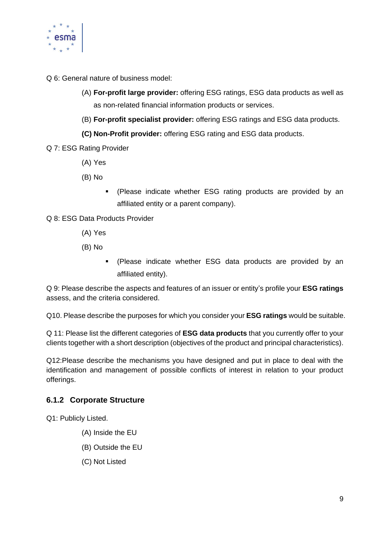

Q 6: General nature of business model:

- (A) **For-profit large provider:** offering ESG ratings, ESG data products as well as as non-related financial information products or services.
- (B) **For-profit specialist provider:** offering ESG ratings and ESG data products.
- **(C) Non-Profit provider:** offering ESG rating and ESG data products.
- Q 7: ESG Rating Provider
	- (A) Yes
	- (B) No
		- (Please indicate whether ESG rating products are provided by an affiliated entity or a parent company).
- Q 8: ESG Data Products Provider
	- (A) Yes
	- (B) No
		- (Please indicate whether ESG data products are provided by an affiliated entity).

Q 9: Please describe the aspects and features of an issuer or entity's profile your **ESG ratings** assess, and the criteria considered.

Q10. Please describe the purposes for which you consider your **ESG ratings** would be suitable.

Q 11: Please list the different categories of **ESG data products** that you currently offer to your clients together with a short description (objectives of the product and principal characteristics).

Q12:Please describe the mechanisms you have designed and put in place to deal with the identification and management of possible conflicts of interest in relation to your product offerings.

## **6.1.2 Corporate Structure**

Q1: Publicly Listed.

- (A) Inside the EU
- (B) Outside the EU
- (C) Not Listed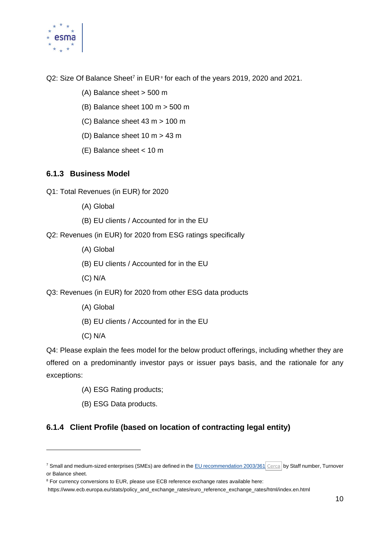

Q2: Size Of Balance Sheet<sup>7</sup> in EUR<sup>®</sup> for each of the years 2019, 2020 and 2021.

- (A) Balance sheet > 500 m
- (B) Balance sheet 100 m > 500 m
- (C) Balance sheet 43 m > 100 m
- (D) Balance sheet 10 m > 43 m
- (E) Balance sheet < 10 m

### **6.1.3 Business Model**

Q1: Total Revenues (in EUR) for 2020

- (A) Global
- (B) EU clients / Accounted for in the EU

Q2: Revenues (in EUR) for 2020 from ESG ratings specifically

- (A) Global
- (B) EU clients / Accounted for in the EU
- (C) N/A

Q3: Revenues (in EUR) for 2020 from other ESG data products

- (A) Global
- (B) EU clients / Accounted for in the EU
- (C) N/A

Q4: Please explain the fees model for the below product offerings, including whether they are offered on a predominantly investor pays or issuer pays basis, and the rationale for any exceptions:

- (A) ESG Rating products;
- (B) ESG Data products.

## **6.1.4 Client Profile (based on location of contracting legal entity)**

<sup>&</sup>lt;sup>7</sup> Small and medium-sized enterprises (SMEs) are defined in the [EU recommendation 2003/361](http://eur-lex.europa.eu/legal-content/EN/TXT/?uri=CELEX:32003H0361&locale=en) [Cerca](javascript:void(0)) by Staff number, Turnover or Balance sheet.

<sup>&</sup>lt;sup>8</sup> For currency conversions to EUR, please use ECB reference exchange rates available here:

https://www.ecb.europa.eu/stats/policy\_and\_exchange\_rates/euro\_reference\_exchange\_rates/html/index.en.html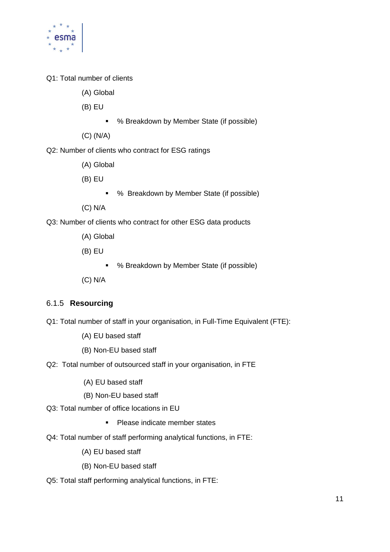

- Q1: Total number of clients
	- (A) Global
	- (B) EU
		- % Breakdown by Member State (if possible)
	- (C) (N/A)
- Q2: Number of clients who contract for ESG ratings
	- (A) Global
	- (B) EU
		- % Breakdown by Member State (if possible)
	- (C) N/A
- Q3: Number of clients who contract for other ESG data products
	- (A) Global
	- (B) EU
		- % Breakdown by Member State (if possible)
	- (C) N/A

### 6.1.5 **Resourcing**

- Q1: Total number of staff in your organisation, in Full-Time Equivalent (FTE):
	- (A) EU based staff
	- (B) Non-EU based staff
- Q2: Total number of outsourced staff in your organisation, in FTE
	- (A) EU based staff
	- (B) Non-EU based staff
- Q3: Total number of office locations in EU
	- Please indicate member states
- Q4: Total number of staff performing analytical functions, in FTE:
	- (A) EU based staff
	- (B) Non-EU based staff
- Q5: Total staff performing analytical functions, in FTE: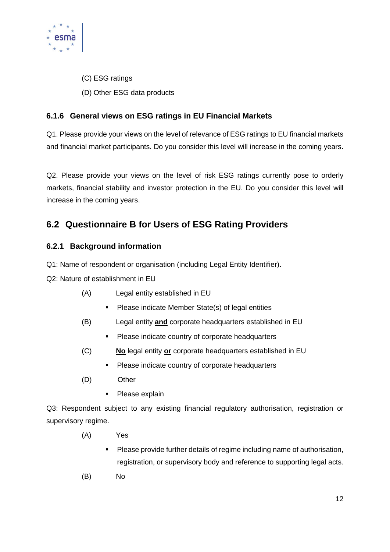

- (C) ESG ratings
- (D) Other ESG data products

## **6.1.6 General views on ESG ratings in EU Financial Markets**

Q1. Please provide your views on the level of relevance of ESG ratings to EU financial markets and financial market participants. Do you consider this level will increase in the coming years.

Q2. Please provide your views on the level of risk ESG ratings currently pose to orderly markets, financial stability and investor protection in the EU. Do you consider this level will increase in the coming years.

# <span id="page-12-0"></span>**6.2 Questionnaire B for Users of ESG Rating Providers**

## **6.2.1 Background information**

Q1: Name of respondent or organisation (including Legal Entity Identifier).

Q2: Nature of establishment in EU

- (A) Legal entity established in EU
	- Please indicate Member State(s) of legal entities
- (B) Legal entity **and** corporate headquarters established in EU
	- **•** Please indicate country of corporate headquarters
- (C) **No** legal entity **or** corporate headquarters established in EU
	- Please indicate country of corporate headquarters
- (D) Other
	- Please explain

Q3: Respondent subject to any existing financial regulatory authorisation, registration or supervisory regime.

- (A) Yes
	- Please provide further details of regime including name of authorisation, registration, or supervisory body and reference to supporting legal acts.
- (B) No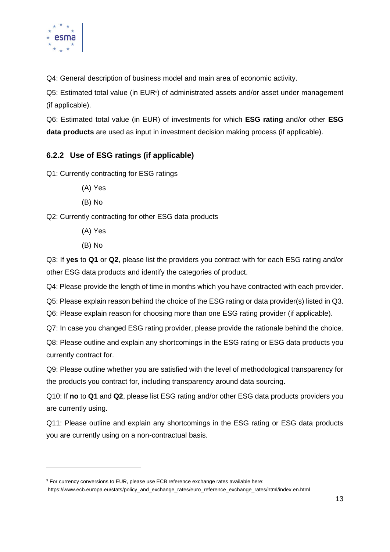

Q4: General description of business model and main area of economic activity.

Q5: Estimated total value (in EUR<sup>9</sup>) of administrated assets and/or asset under management (if applicable).

Q6: Estimated total value (in EUR) of investments for which **ESG rating** and/or other **ESG data products** are used as input in investment decision making process (if applicable).

## **6.2.2 Use of ESG ratings (if applicable)**

Q1: Currently contracting for ESG ratings

- (A) Yes
- (B) No

Q2: Currently contracting for other ESG data products

- (A) Yes
- (B) No

Q3: If **yes** to **Q1** or **Q2**, please list the providers you contract with for each ESG rating and/or other ESG data products and identify the categories of product.

Q4: Please provide the length of time in months which you have contracted with each provider.

Q5: Please explain reason behind the choice of the ESG rating or data provider(s) listed in Q3.

Q6: Please explain reason for choosing more than one ESG rating provider (if applicable).

Q7: In case you changed ESG rating provider, please provide the rationale behind the choice.

Q8: Please outline and explain any shortcomings in the ESG rating or ESG data products you currently contract for.

Q9: Please outline whether you are satisfied with the level of methodological transparency for the products you contract for, including transparency around data sourcing.

Q10: If **no** to **Q1** and **Q2**, please list ESG rating and/or other ESG data products providers you are currently using.

Q11: Please outline and explain any shortcomings in the ESG rating or ESG data products you are currently using on a non-contractual basis.

<sup>9</sup> For currency conversions to EUR, please use ECB reference exchange rates available here:

https://www.ecb.europa.eu/stats/policy\_and\_exchange\_rates/euro\_reference\_exchange\_rates/html/index.en.html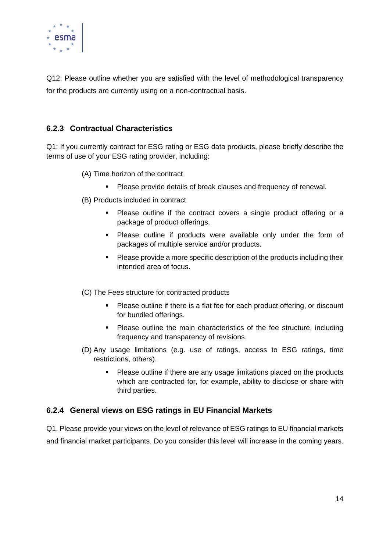

Q12: Please outline whether you are satisfied with the level of methodological transparency for the products are currently using on a non-contractual basis.

## **6.2.3 Contractual Characteristics**

Q1: If you currently contract for ESG rating or ESG data products, please briefly describe the terms of use of your ESG rating provider, including:

- (A) Time horizon of the contract
	- Please provide details of break clauses and frequency of renewal.
- (B) Products included in contract
	- Please outline if the contract covers a single product offering or a package of product offerings.
	- Please outline if products were available only under the form of packages of multiple service and/or products.
	- Please provide a more specific description of the products including their intended area of focus.

(C) The Fees structure for contracted products

- Please outline if there is a flat fee for each product offering, or discount for bundled offerings.
- Please outline the main characteristics of the fee structure, including frequency and transparency of revisions.
- (D) Any usage limitations (e.g. use of ratings, access to ESG ratings, time restrictions, others).
	- Please outline if there are any usage limitations placed on the products which are contracted for, for example, ability to disclose or share with third parties.

### **6.2.4 General views on ESG ratings in EU Financial Markets**

Q1. Please provide your views on the level of relevance of ESG ratings to EU financial markets and financial market participants. Do you consider this level will increase in the coming years.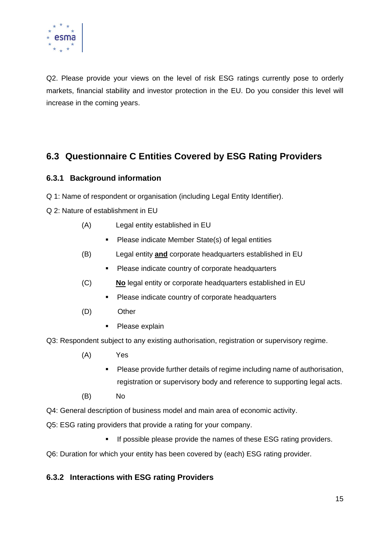

Q2. Please provide your views on the level of risk ESG ratings currently pose to orderly markets, financial stability and investor protection in the EU. Do you consider this level will increase in the coming years.

# <span id="page-15-0"></span>**6.3 Questionnaire C Entities Covered by ESG Rating Providers**

## **6.3.1 Background information**

- Q 1: Name of respondent or organisation (including Legal Entity Identifier).
- Q 2: Nature of establishment in EU
	- (A) Legal entity established in EU
		- Please indicate Member State(s) of legal entities
	- (B) Legal entity **and** corporate headquarters established in EU
		- **•** Please indicate country of corporate headquarters
	- (C) **No** legal entity or corporate headquarters established in EU
		- **•** Please indicate country of corporate headquarters
	- (D) Other
		- Please explain

Q3: Respondent subject to any existing authorisation, registration or supervisory regime.

- (A) Yes
	- Please provide further details of regime including name of authorisation, registration or supervisory body and reference to supporting legal acts.
- (B) No
- Q4: General description of business model and main area of economic activity.
- Q5: ESG rating providers that provide a rating for your company.
	- **■** If possible please provide the names of these ESG rating providers.
- Q6: Duration for which your entity has been covered by (each) ESG rating provider.

### **6.3.2 Interactions with ESG rating Providers**